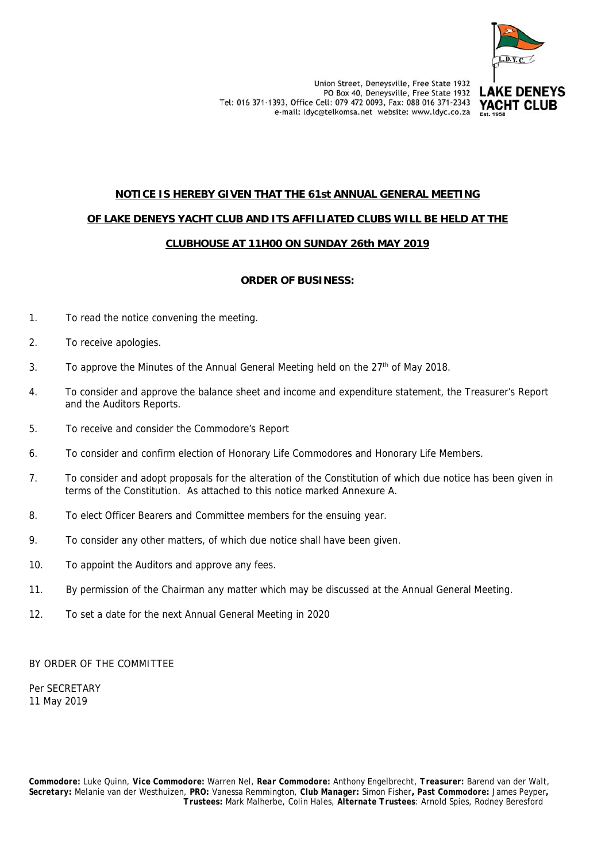

# **NOTICE IS HEREBY GIVEN THAT THE 61st ANNUAL GENERAL MEETING OF LAKE DENEYS YACHT CLUB AND ITS AFFILIATED CLUBS WILL BE HELD AT THE CLUBHOUSE AT 11H00 ON SUNDAY 26th MAY 2019**

# **ORDER OF BUSINESS:**

- 1. To read the notice convening the meeting.
- 2. To receive apologies.
- 3. To approve the Minutes of the Annual General Meeting held on the  $27<sup>th</sup>$  of May 2018.
- 4. To consider and approve the balance sheet and income and expenditure statement, the Treasurer's Report and the Auditors Reports.
- 5. To receive and consider the Commodore's Report
- 6. To consider and confirm election of Honorary Life Commodores and Honorary Life Members.
- 7. To consider and adopt proposals for the alteration of the Constitution of which due notice has been given in terms of the Constitution. As attached to this notice marked Annexure A.
- 8. To elect Officer Bearers and Committee members for the ensuing year.
- 9. To consider any other matters, of which due notice shall have been given.
- 10. To appoint the Auditors and approve any fees.
- 11. By permission of the Chairman any matter which may be discussed at the Annual General Meeting.
- 12. To set a date for the next Annual General Meeting in 2020

BY ORDER OF THE COMMITTEE

Per SECRETARY 11 May 2019